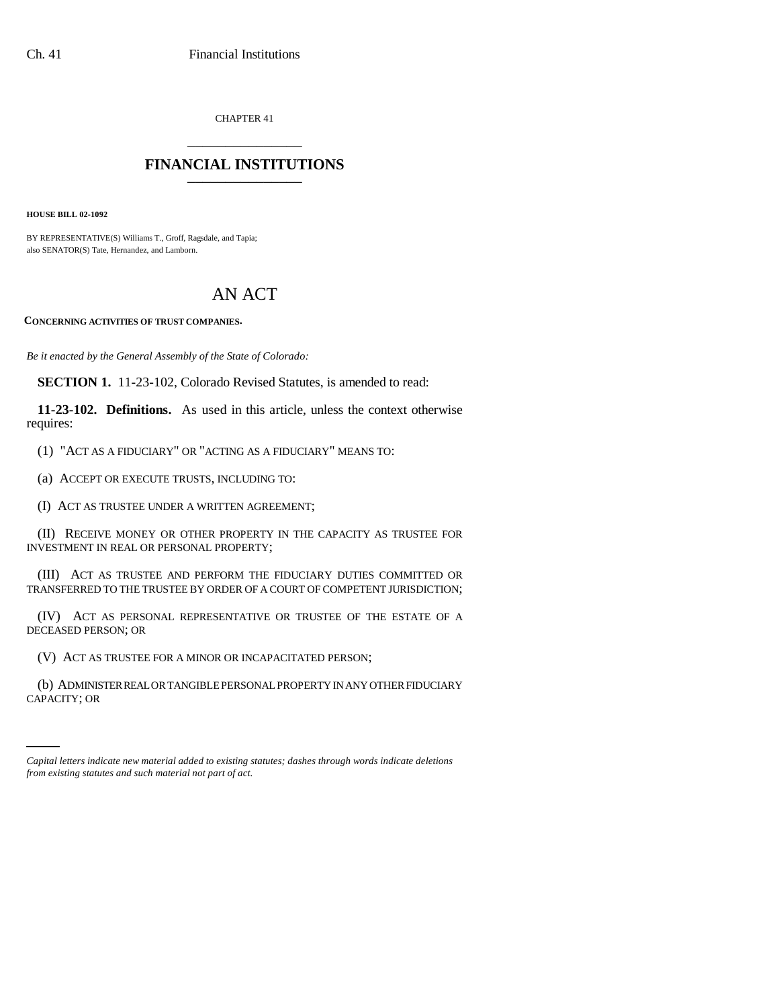CHAPTER 41 \_\_\_\_\_\_\_\_\_\_\_\_\_\_\_

## **FINANCIAL INSTITUTIONS** \_\_\_\_\_\_\_\_\_\_\_\_\_\_\_

**HOUSE BILL 02-1092**

BY REPRESENTATIVE(S) Williams T., Groff, Ragsdale, and Tapia; also SENATOR(S) Tate, Hernandez, and Lamborn.

## AN ACT

**CONCERNING ACTIVITIES OF TRUST COMPANIES.**

*Be it enacted by the General Assembly of the State of Colorado:*

**SECTION 1.** 11-23-102, Colorado Revised Statutes, is amended to read:

**11-23-102. Definitions.** As used in this article, unless the context otherwise requires:

(1) "ACT AS A FIDUCIARY" OR "ACTING AS A FIDUCIARY" MEANS TO:

(a) ACCEPT OR EXECUTE TRUSTS, INCLUDING TO:

(I) ACT AS TRUSTEE UNDER A WRITTEN AGREEMENT;

(II) RECEIVE MONEY OR OTHER PROPERTY IN THE CAPACITY AS TRUSTEE FOR INVESTMENT IN REAL OR PERSONAL PROPERTY;

(III) ACT AS TRUSTEE AND PERFORM THE FIDUCIARY DUTIES COMMITTED OR TRANSFERRED TO THE TRUSTEE BY ORDER OF A COURT OF COMPETENT JURISDICTION;

(IV) ACT AS PERSONAL REPRESENTATIVE OR TRUSTEE OF THE ESTATE OF A DECEASED PERSON; OR

(V) ACT AS TRUSTEE FOR A MINOR OR INCAPACITATED PERSON;

(b) ADMINISTER REAL OR TANGIBLE PERSONAL PROPERTY IN ANY OTHER FIDUCIARY CAPACITY; OR

*Capital letters indicate new material added to existing statutes; dashes through words indicate deletions from existing statutes and such material not part of act.*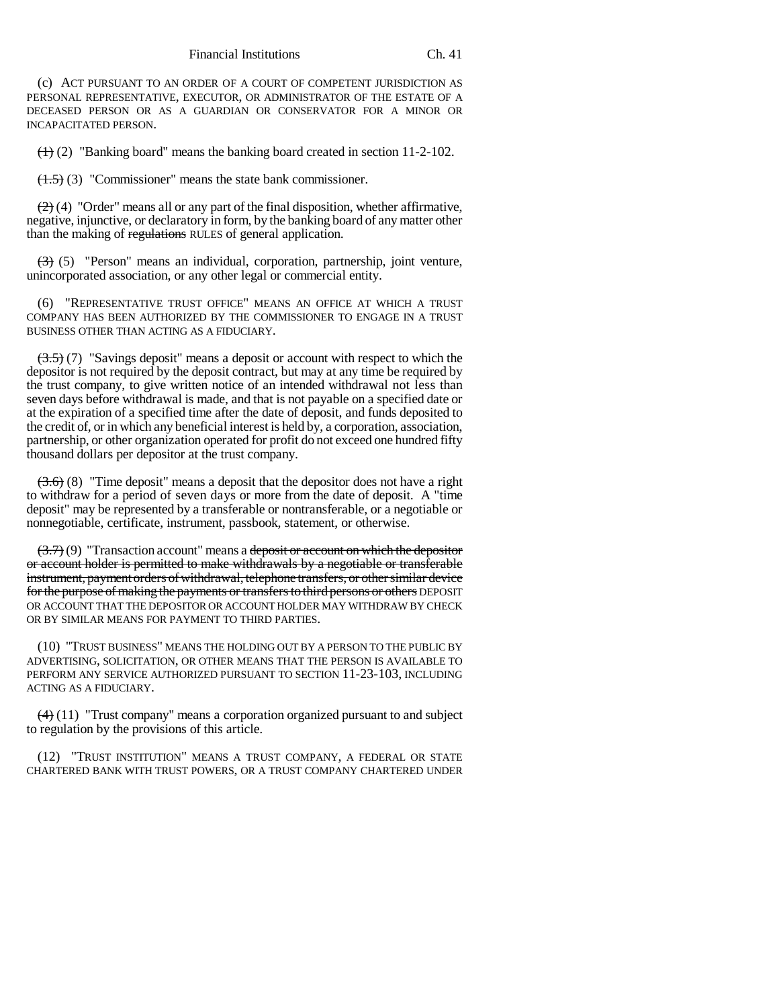(c) ACT PURSUANT TO AN ORDER OF A COURT OF COMPETENT JURISDICTION AS PERSONAL REPRESENTATIVE, EXECUTOR, OR ADMINISTRATOR OF THE ESTATE OF A DECEASED PERSON OR AS A GUARDIAN OR CONSERVATOR FOR A MINOR OR INCAPACITATED PERSON.

 $(1)$  (2) "Banking board" means the banking board created in section 11-2-102.

 $(1.5)$  (3) "Commissioner" means the state bank commissioner.

 $(2)$  (4) "Order" means all or any part of the final disposition, whether affirmative, negative, injunctive, or declaratory in form, by the banking board of any matter other than the making of regulations RULES of general application.

 $(3)$  (5) "Person" means an individual, corporation, partnership, joint venture, unincorporated association, or any other legal or commercial entity.

(6) "REPRESENTATIVE TRUST OFFICE" MEANS AN OFFICE AT WHICH A TRUST COMPANY HAS BEEN AUTHORIZED BY THE COMMISSIONER TO ENGAGE IN A TRUST BUSINESS OTHER THAN ACTING AS A FIDUCIARY.

 $(3.5)$  (7) "Savings deposit" means a deposit or account with respect to which the depositor is not required by the deposit contract, but may at any time be required by the trust company, to give written notice of an intended withdrawal not less than seven days before withdrawal is made, and that is not payable on a specified date or at the expiration of a specified time after the date of deposit, and funds deposited to the credit of, or in which any beneficial interest is held by, a corporation, association, partnership, or other organization operated for profit do not exceed one hundred fifty thousand dollars per depositor at the trust company.

 $(3.6)$  (8) "Time deposit" means a deposit that the depositor does not have a right to withdraw for a period of seven days or more from the date of deposit. A "time deposit" may be represented by a transferable or nontransferable, or a negotiable or nonnegotiable, certificate, instrument, passbook, statement, or otherwise.

 $(3.7)$  (9) "Transaction account" means a deposit or account on which the depositor or account holder is permitted to make withdrawals by a negotiable or transferable instrument, payment orders of withdrawal, telephone transfers, or other similar device for the purpose of making the payments or transfers to third persons or others DEPOSIT OR ACCOUNT THAT THE DEPOSITOR OR ACCOUNT HOLDER MAY WITHDRAW BY CHECK OR BY SIMILAR MEANS FOR PAYMENT TO THIRD PARTIES.

(10) "TRUST BUSINESS" MEANS THE HOLDING OUT BY A PERSON TO THE PUBLIC BY ADVERTISING, SOLICITATION, OR OTHER MEANS THAT THE PERSON IS AVAILABLE TO PERFORM ANY SERVICE AUTHORIZED PURSUANT TO SECTION 11-23-103, INCLUDING ACTING AS A FIDUCIARY.

 $(4)$  (11) "Trust company" means a corporation organized pursuant to and subject to regulation by the provisions of this article.

(12) "TRUST INSTITUTION" MEANS A TRUST COMPANY, A FEDERAL OR STATE CHARTERED BANK WITH TRUST POWERS, OR A TRUST COMPANY CHARTERED UNDER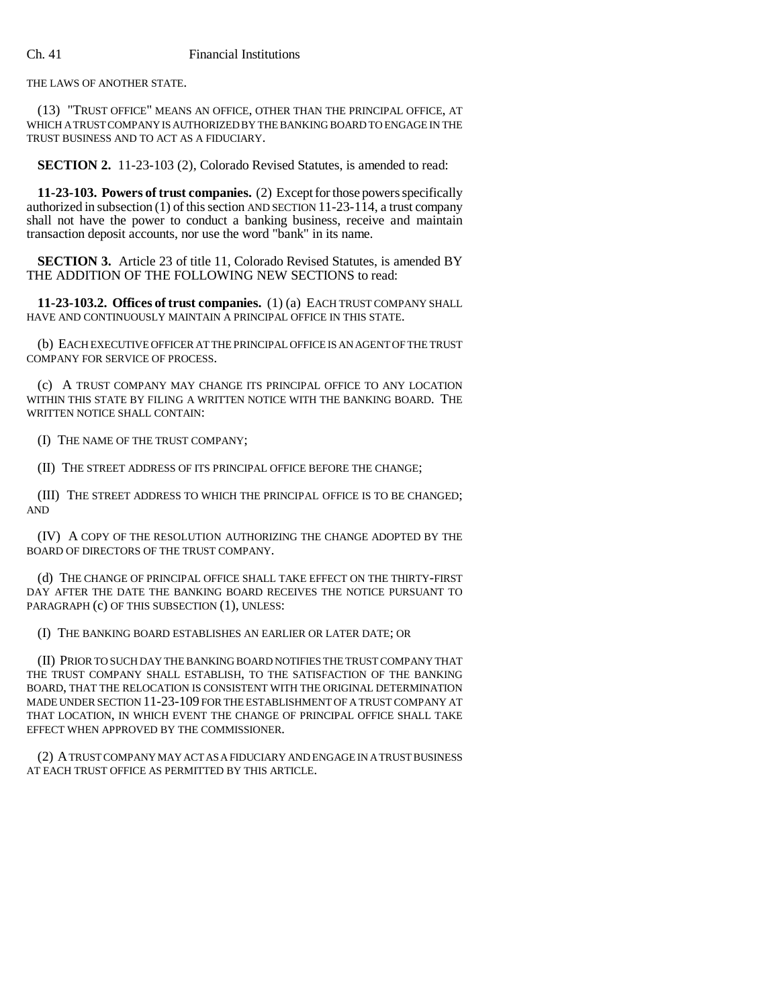## Ch. 41 Financial Institutions

THE LAWS OF ANOTHER STATE.

(13) "TRUST OFFICE" MEANS AN OFFICE, OTHER THAN THE PRINCIPAL OFFICE, AT WHICH A TRUST COMPANY IS AUTHORIZED BY THE BANKING BOARD TO ENGAGE IN THE TRUST BUSINESS AND TO ACT AS A FIDUCIARY.

**SECTION 2.** 11-23-103 (2), Colorado Revised Statutes, is amended to read:

**11-23-103. Powers of trust companies.** (2) Except for those powers specifically authorized in subsection (1) of this section AND SECTION 11-23-114, a trust company shall not have the power to conduct a banking business, receive and maintain transaction deposit accounts, nor use the word "bank" in its name.

**SECTION 3.** Article 23 of title 11, Colorado Revised Statutes, is amended BY THE ADDITION OF THE FOLLOWING NEW SECTIONS to read:

**11-23-103.2. Offices of trust companies.** (1) (a) EACH TRUST COMPANY SHALL HAVE AND CONTINUOUSLY MAINTAIN A PRINCIPAL OFFICE IN THIS STATE.

(b) EACH EXECUTIVE OFFICER AT THE PRINCIPAL OFFICE IS AN AGENT OF THE TRUST COMPANY FOR SERVICE OF PROCESS.

(c) A TRUST COMPANY MAY CHANGE ITS PRINCIPAL OFFICE TO ANY LOCATION WITHIN THIS STATE BY FILING A WRITTEN NOTICE WITH THE BANKING BOARD. THE WRITTEN NOTICE SHALL CONTAIN:

(I) THE NAME OF THE TRUST COMPANY;

(II) THE STREET ADDRESS OF ITS PRINCIPAL OFFICE BEFORE THE CHANGE;

(III) THE STREET ADDRESS TO WHICH THE PRINCIPAL OFFICE IS TO BE CHANGED; AND

(IV) A COPY OF THE RESOLUTION AUTHORIZING THE CHANGE ADOPTED BY THE BOARD OF DIRECTORS OF THE TRUST COMPANY.

(d) THE CHANGE OF PRINCIPAL OFFICE SHALL TAKE EFFECT ON THE THIRTY-FIRST DAY AFTER THE DATE THE BANKING BOARD RECEIVES THE NOTICE PURSUANT TO PARAGRAPH (c) OF THIS SUBSECTION (1), UNLESS:

(I) THE BANKING BOARD ESTABLISHES AN EARLIER OR LATER DATE; OR

(II) PRIOR TO SUCH DAY THE BANKING BOARD NOTIFIES THE TRUST COMPANY THAT THE TRUST COMPANY SHALL ESTABLISH, TO THE SATISFACTION OF THE BANKING BOARD, THAT THE RELOCATION IS CONSISTENT WITH THE ORIGINAL DETERMINATION MADE UNDER SECTION 11-23-109 FOR THE ESTABLISHMENT OF A TRUST COMPANY AT THAT LOCATION, IN WHICH EVENT THE CHANGE OF PRINCIPAL OFFICE SHALL TAKE EFFECT WHEN APPROVED BY THE COMMISSIONER.

(2) A TRUST COMPANY MAY ACT AS A FIDUCIARY AND ENGAGE IN A TRUST BUSINESS AT EACH TRUST OFFICE AS PERMITTED BY THIS ARTICLE.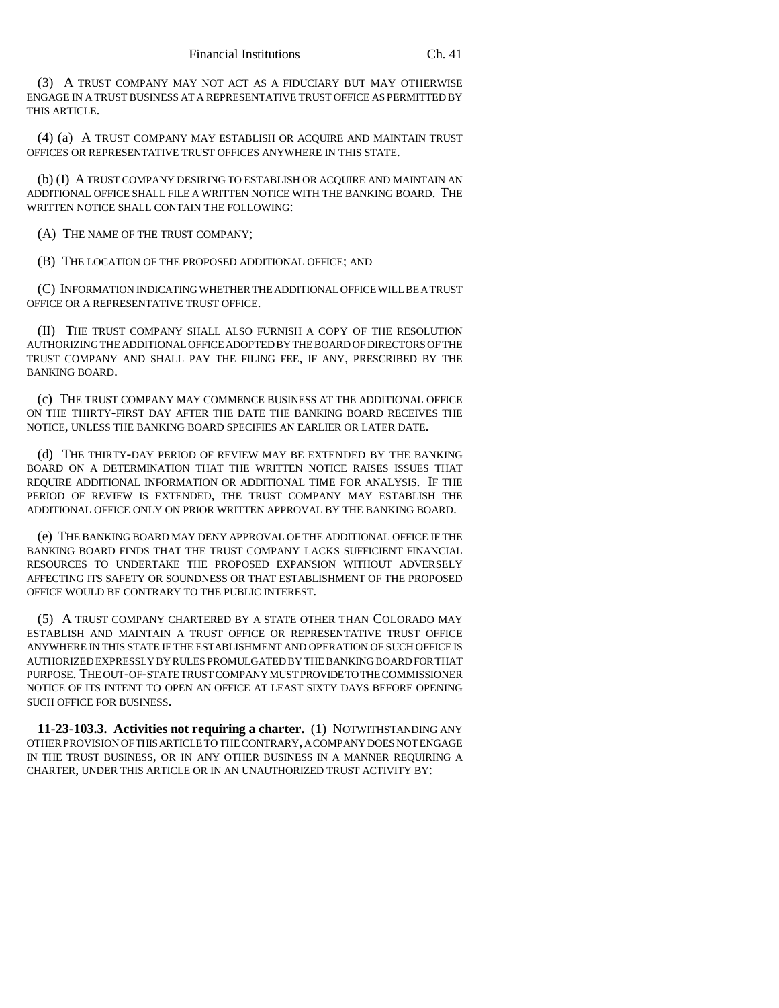(3) A TRUST COMPANY MAY NOT ACT AS A FIDUCIARY BUT MAY OTHERWISE ENGAGE IN A TRUST BUSINESS AT A REPRESENTATIVE TRUST OFFICE AS PERMITTED BY THIS ARTICLE.

(4) (a) A TRUST COMPANY MAY ESTABLISH OR ACQUIRE AND MAINTAIN TRUST OFFICES OR REPRESENTATIVE TRUST OFFICES ANYWHERE IN THIS STATE.

(b) (I) A TRUST COMPANY DESIRING TO ESTABLISH OR ACQUIRE AND MAINTAIN AN ADDITIONAL OFFICE SHALL FILE A WRITTEN NOTICE WITH THE BANKING BOARD. THE WRITTEN NOTICE SHALL CONTAIN THE FOLLOWING:

(A) THE NAME OF THE TRUST COMPANY;

(B) THE LOCATION OF THE PROPOSED ADDITIONAL OFFICE; AND

(C) INFORMATION INDICATING WHETHER THE ADDITIONAL OFFICE WILL BE A TRUST OFFICE OR A REPRESENTATIVE TRUST OFFICE.

(II) THE TRUST COMPANY SHALL ALSO FURNISH A COPY OF THE RESOLUTION AUTHORIZING THE ADDITIONAL OFFICE ADOPTED BY THE BOARD OF DIRECTORS OF THE TRUST COMPANY AND SHALL PAY THE FILING FEE, IF ANY, PRESCRIBED BY THE BANKING BOARD.

(c) THE TRUST COMPANY MAY COMMENCE BUSINESS AT THE ADDITIONAL OFFICE ON THE THIRTY-FIRST DAY AFTER THE DATE THE BANKING BOARD RECEIVES THE NOTICE, UNLESS THE BANKING BOARD SPECIFIES AN EARLIER OR LATER DATE.

(d) THE THIRTY-DAY PERIOD OF REVIEW MAY BE EXTENDED BY THE BANKING BOARD ON A DETERMINATION THAT THE WRITTEN NOTICE RAISES ISSUES THAT REQUIRE ADDITIONAL INFORMATION OR ADDITIONAL TIME FOR ANALYSIS. IF THE PERIOD OF REVIEW IS EXTENDED, THE TRUST COMPANY MAY ESTABLISH THE ADDITIONAL OFFICE ONLY ON PRIOR WRITTEN APPROVAL BY THE BANKING BOARD.

(e) THE BANKING BOARD MAY DENY APPROVAL OF THE ADDITIONAL OFFICE IF THE BANKING BOARD FINDS THAT THE TRUST COMPANY LACKS SUFFICIENT FINANCIAL RESOURCES TO UNDERTAKE THE PROPOSED EXPANSION WITHOUT ADVERSELY AFFECTING ITS SAFETY OR SOUNDNESS OR THAT ESTABLISHMENT OF THE PROPOSED OFFICE WOULD BE CONTRARY TO THE PUBLIC INTEREST.

(5) A TRUST COMPANY CHARTERED BY A STATE OTHER THAN COLORADO MAY ESTABLISH AND MAINTAIN A TRUST OFFICE OR REPRESENTATIVE TRUST OFFICE ANYWHERE IN THIS STATE IF THE ESTABLISHMENT AND OPERATION OF SUCH OFFICE IS AUTHORIZED EXPRESSLY BY RULES PROMULGATED BY THE BANKING BOARD FOR THAT PURPOSE. THE OUT-OF-STATE TRUST COMPANY MUST PROVIDE TO THE COMMISSIONER NOTICE OF ITS INTENT TO OPEN AN OFFICE AT LEAST SIXTY DAYS BEFORE OPENING SUCH OFFICE FOR BUSINESS.

**11-23-103.3. Activities not requiring a charter.** (1) NOTWITHSTANDING ANY OTHER PROVISION OF THIS ARTICLE TO THE CONTRARY, A COMPANY DOES NOT ENGAGE IN THE TRUST BUSINESS, OR IN ANY OTHER BUSINESS IN A MANNER REQUIRING A CHARTER, UNDER THIS ARTICLE OR IN AN UNAUTHORIZED TRUST ACTIVITY BY: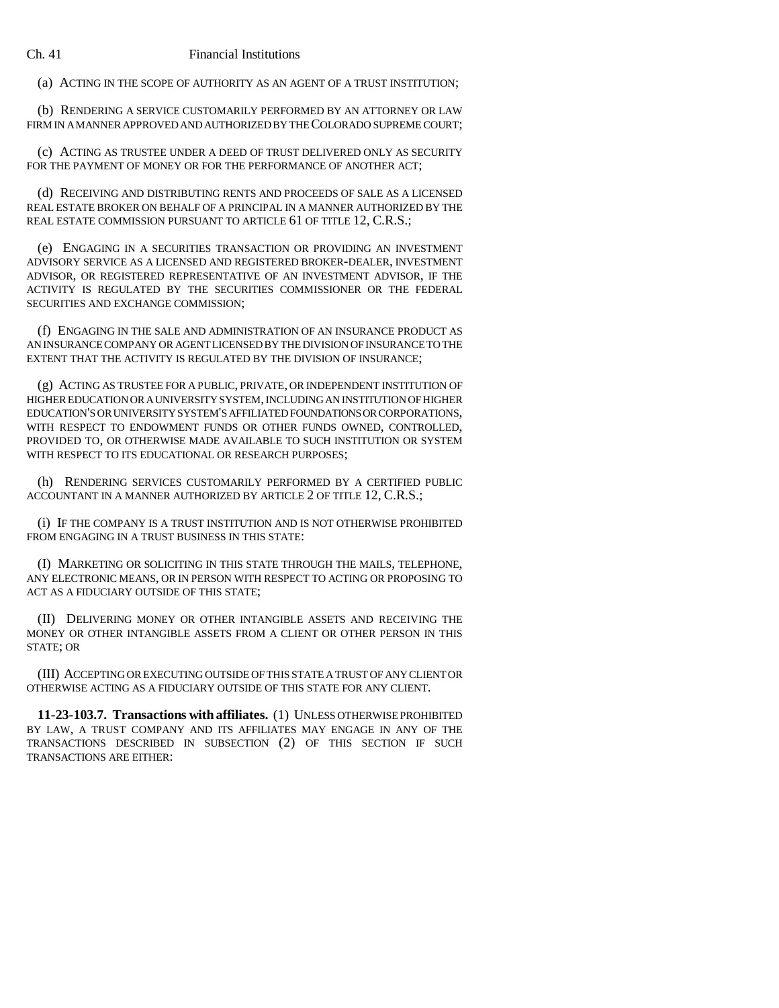(a) ACTING IN THE SCOPE OF AUTHORITY AS AN AGENT OF A TRUST INSTITUTION;

(b) RENDERING A SERVICE CUSTOMARILY PERFORMED BY AN ATTORNEY OR LAW FIRM IN A MANNER APPROVED AND AUTHORIZED BY THE COLORADO SUPREME COURT;

(c) ACTING AS TRUSTEE UNDER A DEED OF TRUST DELIVERED ONLY AS SECURITY FOR THE PAYMENT OF MONEY OR FOR THE PERFORMANCE OF ANOTHER ACT;

(d) RECEIVING AND DISTRIBUTING RENTS AND PROCEEDS OF SALE AS A LICENSED REAL ESTATE BROKER ON BEHALF OF A PRINCIPAL IN A MANNER AUTHORIZED BY THE REAL ESTATE COMMISSION PURSUANT TO ARTICLE 61 OF TITLE 12, C.R.S.;

(e) ENGAGING IN A SECURITIES TRANSACTION OR PROVIDING AN INVESTMENT ADVISORY SERVICE AS A LICENSED AND REGISTERED BROKER-DEALER, INVESTMENT ADVISOR, OR REGISTERED REPRESENTATIVE OF AN INVESTMENT ADVISOR, IF THE ACTIVITY IS REGULATED BY THE SECURITIES COMMISSIONER OR THE FEDERAL SECURITIES AND EXCHANGE COMMISSION;

(f) ENGAGING IN THE SALE AND ADMINISTRATION OF AN INSURANCE PRODUCT AS AN INSURANCE COMPANY OR AGENT LICENSED BY THE DIVISION OF INSURANCE TO THE EXTENT THAT THE ACTIVITY IS REGULATED BY THE DIVISION OF INSURANCE;

(g) ACTING AS TRUSTEE FOR A PUBLIC, PRIVATE, OR INDEPENDENT INSTITUTION OF HIGHER EDUCATION OR A UNIVERSITY SYSTEM, INCLUDING AN INSTITUTION OF HIGHER EDUCATION'S OR UNIVERSITY SYSTEM'S AFFILIATED FOUNDATIONS OR CORPORATIONS, WITH RESPECT TO ENDOWMENT FUNDS OR OTHER FUNDS OWNED, CONTROLLED, PROVIDED TO, OR OTHERWISE MADE AVAILABLE TO SUCH INSTITUTION OR SYSTEM WITH RESPECT TO ITS EDUCATIONAL OR RESEARCH PURPOSES;

(h) RENDERING SERVICES CUSTOMARILY PERFORMED BY A CERTIFIED PUBLIC ACCOUNTANT IN A MANNER AUTHORIZED BY ARTICLE 2 OF TITLE 12, C.R.S.;

(i) IF THE COMPANY IS A TRUST INSTITUTION AND IS NOT OTHERWISE PROHIBITED FROM ENGAGING IN A TRUST BUSINESS IN THIS STATE:

(I) MARKETING OR SOLICITING IN THIS STATE THROUGH THE MAILS, TELEPHONE, ANY ELECTRONIC MEANS, OR IN PERSON WITH RESPECT TO ACTING OR PROPOSING TO ACT AS A FIDUCIARY OUTSIDE OF THIS STATE;

(II) DELIVERING MONEY OR OTHER INTANGIBLE ASSETS AND RECEIVING THE MONEY OR OTHER INTANGIBLE ASSETS FROM A CLIENT OR OTHER PERSON IN THIS STATE; OR

(III) ACCEPTING OR EXECUTING OUTSIDE OF THIS STATE A TRUST OF ANY CLIENT OR OTHERWISE ACTING AS A FIDUCIARY OUTSIDE OF THIS STATE FOR ANY CLIENT.

**11-23-103.7. Transactions with affiliates.** (1) UNLESS OTHERWISE PROHIBITED BY LAW, A TRUST COMPANY AND ITS AFFILIATES MAY ENGAGE IN ANY OF THE TRANSACTIONS DESCRIBED IN SUBSECTION (2) OF THIS SECTION IF SUCH TRANSACTIONS ARE EITHER: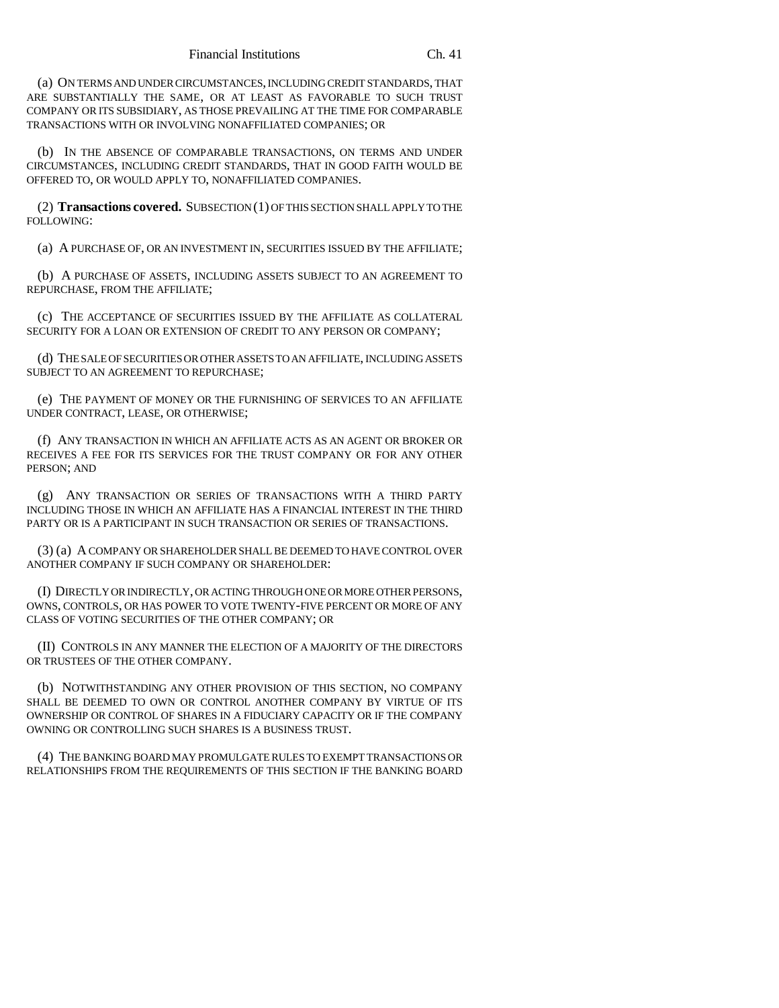(a) ON TERMS AND UNDER CIRCUMSTANCES, INCLUDING CREDIT STANDARDS, THAT ARE SUBSTANTIALLY THE SAME, OR AT LEAST AS FAVORABLE TO SUCH TRUST COMPANY OR ITS SUBSIDIARY, AS THOSE PREVAILING AT THE TIME FOR COMPARABLE TRANSACTIONS WITH OR INVOLVING NONAFFILIATED COMPANIES; OR

(b) IN THE ABSENCE OF COMPARABLE TRANSACTIONS, ON TERMS AND UNDER CIRCUMSTANCES, INCLUDING CREDIT STANDARDS, THAT IN GOOD FAITH WOULD BE OFFERED TO, OR WOULD APPLY TO, NONAFFILIATED COMPANIES.

(2) **Transactions covered.** SUBSECTION (1) OF THIS SECTION SHALL APPLY TO THE FOLLOWING:

(a) A PURCHASE OF, OR AN INVESTMENT IN, SECURITIES ISSUED BY THE AFFILIATE;

(b) A PURCHASE OF ASSETS, INCLUDING ASSETS SUBJECT TO AN AGREEMENT TO REPURCHASE, FROM THE AFFILIATE;

(c) THE ACCEPTANCE OF SECURITIES ISSUED BY THE AFFILIATE AS COLLATERAL SECURITY FOR A LOAN OR EXTENSION OF CREDIT TO ANY PERSON OR COMPANY;

(d) THE SALE OF SECURITIES OR OTHER ASSETS TO AN AFFILIATE, INCLUDING ASSETS SUBJECT TO AN AGREEMENT TO REPURCHASE;

(e) THE PAYMENT OF MONEY OR THE FURNISHING OF SERVICES TO AN AFFILIATE UNDER CONTRACT, LEASE, OR OTHERWISE;

(f) ANY TRANSACTION IN WHICH AN AFFILIATE ACTS AS AN AGENT OR BROKER OR RECEIVES A FEE FOR ITS SERVICES FOR THE TRUST COMPANY OR FOR ANY OTHER PERSON; AND

(g) ANY TRANSACTION OR SERIES OF TRANSACTIONS WITH A THIRD PARTY INCLUDING THOSE IN WHICH AN AFFILIATE HAS A FINANCIAL INTEREST IN THE THIRD PARTY OR IS A PARTICIPANT IN SUCH TRANSACTION OR SERIES OF TRANSACTIONS.

(3) (a) A COMPANY OR SHAREHOLDER SHALL BE DEEMED TO HAVE CONTROL OVER ANOTHER COMPANY IF SUCH COMPANY OR SHAREHOLDER:

(I) DIRECTLY OR INDIRECTLY, OR ACTING THROUGH ONE OR MORE OTHER PERSONS, OWNS, CONTROLS, OR HAS POWER TO VOTE TWENTY-FIVE PERCENT OR MORE OF ANY CLASS OF VOTING SECURITIES OF THE OTHER COMPANY; OR

(II) CONTROLS IN ANY MANNER THE ELECTION OF A MAJORITY OF THE DIRECTORS OR TRUSTEES OF THE OTHER COMPANY.

(b) NOTWITHSTANDING ANY OTHER PROVISION OF THIS SECTION, NO COMPANY SHALL BE DEEMED TO OWN OR CONTROL ANOTHER COMPANY BY VIRTUE OF ITS OWNERSHIP OR CONTROL OF SHARES IN A FIDUCIARY CAPACITY OR IF THE COMPANY OWNING OR CONTROLLING SUCH SHARES IS A BUSINESS TRUST.

(4) THE BANKING BOARD MAY PROMULGATE RULES TO EXEMPT TRANSACTIONS OR RELATIONSHIPS FROM THE REQUIREMENTS OF THIS SECTION IF THE BANKING BOARD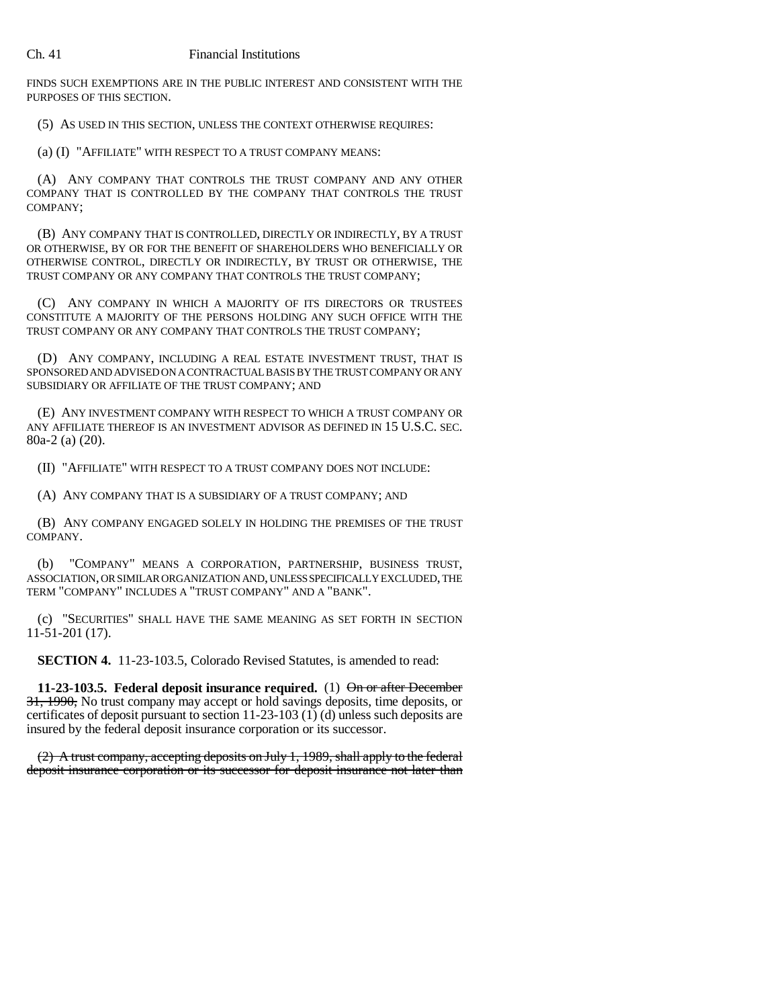FINDS SUCH EXEMPTIONS ARE IN THE PUBLIC INTEREST AND CONSISTENT WITH THE PURPOSES OF THIS SECTION.

(5) AS USED IN THIS SECTION, UNLESS THE CONTEXT OTHERWISE REQUIRES:

(a) (I) "AFFILIATE" WITH RESPECT TO A TRUST COMPANY MEANS:

(A) ANY COMPANY THAT CONTROLS THE TRUST COMPANY AND ANY OTHER COMPANY THAT IS CONTROLLED BY THE COMPANY THAT CONTROLS THE TRUST COMPANY;

(B) ANY COMPANY THAT IS CONTROLLED, DIRECTLY OR INDIRECTLY, BY A TRUST OR OTHERWISE, BY OR FOR THE BENEFIT OF SHAREHOLDERS WHO BENEFICIALLY OR OTHERWISE CONTROL, DIRECTLY OR INDIRECTLY, BY TRUST OR OTHERWISE, THE TRUST COMPANY OR ANY COMPANY THAT CONTROLS THE TRUST COMPANY;

(C) ANY COMPANY IN WHICH A MAJORITY OF ITS DIRECTORS OR TRUSTEES CONSTITUTE A MAJORITY OF THE PERSONS HOLDING ANY SUCH OFFICE WITH THE TRUST COMPANY OR ANY COMPANY THAT CONTROLS THE TRUST COMPANY;

(D) ANY COMPANY, INCLUDING A REAL ESTATE INVESTMENT TRUST, THAT IS SPONSORED AND ADVISED ON A CONTRACTUAL BASIS BY THE TRUST COMPANY OR ANY SUBSIDIARY OR AFFILIATE OF THE TRUST COMPANY; AND

(E) ANY INVESTMENT COMPANY WITH RESPECT TO WHICH A TRUST COMPANY OR ANY AFFILIATE THEREOF IS AN INVESTMENT ADVISOR AS DEFINED IN 15 U.S.C. SEC. 80a-2 (a) (20).

(II) "AFFILIATE" WITH RESPECT TO A TRUST COMPANY DOES NOT INCLUDE:

(A) ANY COMPANY THAT IS A SUBSIDIARY OF A TRUST COMPANY; AND

(B) ANY COMPANY ENGAGED SOLELY IN HOLDING THE PREMISES OF THE TRUST COMPANY.

(b) "COMPANY" MEANS A CORPORATION, PARTNERSHIP, BUSINESS TRUST, ASSOCIATION, OR SIMILAR ORGANIZATION AND, UNLESS SPECIFICALLY EXCLUDED, THE TERM "COMPANY" INCLUDES A "TRUST COMPANY" AND A "BANK".

(c) "SECURITIES" SHALL HAVE THE SAME MEANING AS SET FORTH IN SECTION 11-51-201 (17).

**SECTION 4.** 11-23-103.5, Colorado Revised Statutes, is amended to read:

**11-23-103.5.** Federal deposit insurance required. (1) On or after December 31, 1990, No trust company may accept or hold savings deposits, time deposits, or certificates of deposit pursuant to section 11-23-103 (1) (d) unless such deposits are insured by the federal deposit insurance corporation or its successor.

(2) A trust company, accepting deposits on July 1, 1989, shall apply to the federal deposit insurance corporation or its successor for deposit insurance not later than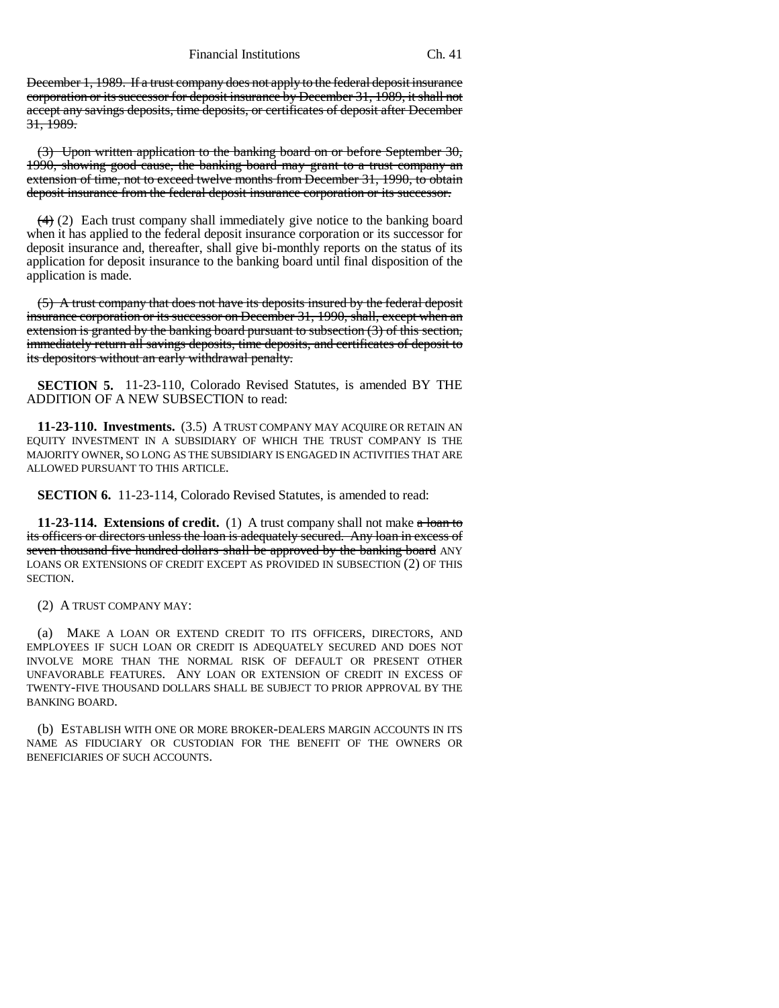Financial Institutions Ch. 41

December 1, 1989. If a trust company does not apply to the federal deposit insurance corporation or its successor for deposit insurance by December 31, 1989, it shall not accept any savings deposits, time deposits, or certificates of deposit after December  $31, 1989.$ 

(3) Upon written application to the banking board on or before September 30, 1990, showing good cause, the banking board may grant to a trust company an extension of time, not to exceed twelve months from December 31, 1990, to obtain deposit insurance from the federal deposit insurance corporation or its successor.

 $(4)$  (2) Each trust company shall immediately give notice to the banking board when it has applied to the federal deposit insurance corporation or its successor for deposit insurance and, thereafter, shall give bi-monthly reports on the status of its application for deposit insurance to the banking board until final disposition of the application is made.

(5) A trust company that does not have its deposits insured by the federal deposit insurance corporation or its successor on December 31, 1990, shall, except when an extension is granted by the banking board pursuant to subsection (3) of this section, immediately return all savings deposits, time deposits, and certificates of deposit to its depositors without an early withdrawal penalty.

**SECTION 5.** 11-23-110, Colorado Revised Statutes, is amended BY THE ADDITION OF A NEW SUBSECTION to read:

**11-23-110. Investments.** (3.5) A TRUST COMPANY MAY ACQUIRE OR RETAIN AN EQUITY INVESTMENT IN A SUBSIDIARY OF WHICH THE TRUST COMPANY IS THE MAJORITY OWNER, SO LONG AS THE SUBSIDIARY IS ENGAGED IN ACTIVITIES THAT ARE ALLOWED PURSUANT TO THIS ARTICLE.

**SECTION 6.** 11-23-114, Colorado Revised Statutes, is amended to read:

**11-23-114. Extensions of credit.** (1) A trust company shall not make a loan to its officers or directors unless the loan is adequately secured. Any loan in excess of seven thousand five hundred dollars shall be approved by the banking board ANY LOANS OR EXTENSIONS OF CREDIT EXCEPT AS PROVIDED IN SUBSECTION (2) OF THIS SECTION.

(2) A TRUST COMPANY MAY:

(a) MAKE A LOAN OR EXTEND CREDIT TO ITS OFFICERS, DIRECTORS, AND EMPLOYEES IF SUCH LOAN OR CREDIT IS ADEQUATELY SECURED AND DOES NOT INVOLVE MORE THAN THE NORMAL RISK OF DEFAULT OR PRESENT OTHER UNFAVORABLE FEATURES. ANY LOAN OR EXTENSION OF CREDIT IN EXCESS OF TWENTY-FIVE THOUSAND DOLLARS SHALL BE SUBJECT TO PRIOR APPROVAL BY THE BANKING BOARD.

(b) ESTABLISH WITH ONE OR MORE BROKER-DEALERS MARGIN ACCOUNTS IN ITS NAME AS FIDUCIARY OR CUSTODIAN FOR THE BENEFIT OF THE OWNERS OR BENEFICIARIES OF SUCH ACCOUNTS.